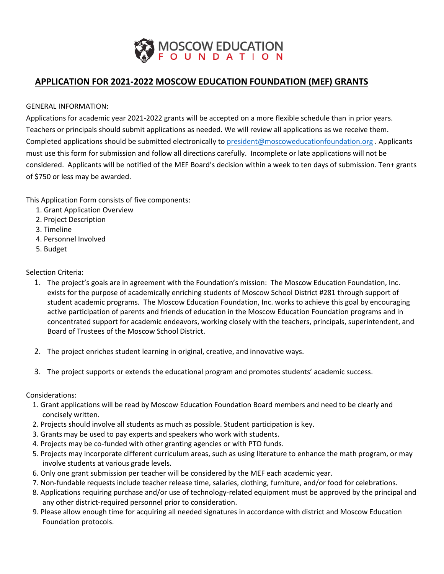

# **APPLICATION FOR 2021-2022 MOSCOW EDUCATION FOUNDATION (MEF) GRANTS**

## GENERAL INFORMATION:

Applications for academic year 2021-2022 grants will be accepted on a more flexible schedule than in prior years. Teachers or principals should submit applications as needed. We will review all applications as we receive them. Completed applications should be submitted electronically to [president@moscoweducationfoundation.org](mailto:president@moscoweducationfoundation.org) . Applicants must use this form for submission and follow all directions carefully. Incomplete or late applications will not be considered. Applicants will be notified of the MEF Board's decision within a week to ten days of submission. Ten+ grants of \$750 or less may be awarded.

This Application Form consists of five components:

- 1. Grant Application Overview
- 2. Project Description
- 3. Timeline
- 4. Personnel Involved
- 5. Budget

# Selection Criteria:

- 1. The project's goals are in agreement with the Foundation's mission: The Moscow Education Foundation, Inc. exists for the purpose of academically enriching students of Moscow School District #281 through support of student academic programs. The Moscow Education Foundation, Inc. works to achieve this goal by encouraging active participation of parents and friends of education in the Moscow Education Foundation programs and in concentrated support for academic endeavors, working closely with the teachers, principals, superintendent, and Board of Trustees of the Moscow School District.
- 2. The project enriches student learning in original, creative, and innovative ways.
- 3. The project supports or extends the educational program and promotes students' academic success.

#### Considerations:

- 1. Grant applications will be read by Moscow Education Foundation Board members and need to be clearly and concisely written.
- 2. Projects should involve all students as much as possible. Student participation is key.
- 3. Grants may be used to pay experts and speakers who work with students.
- 4. Projects may be co-funded with other granting agencies or with PTO funds.
- 5. Projects may incorporate different curriculum areas, such as using literature to enhance the math program, or may involve students at various grade levels.
- 6. Only one grant submission per teacher will be considered by the MEF each academic year.
- 7. Non-fundable requests include teacher release time, salaries, clothing, furniture, and/or food for celebrations.
- 8. Applications requiring purchase and/or use of technology-related equipment must be approved by the principal and any other district-required personnel prior to consideration.
- 9. Please allow enough time for acquiring all needed signatures in accordance with district and Moscow Education Foundation protocols.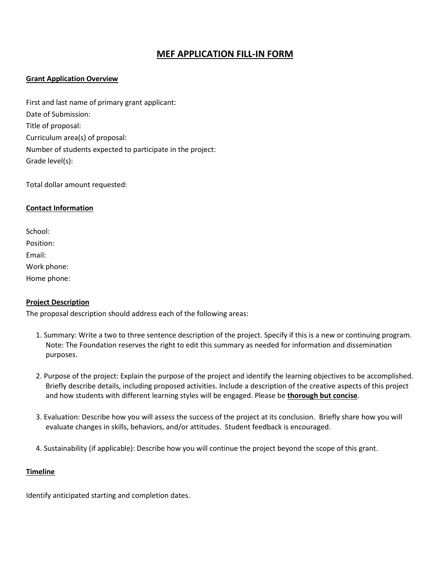# **MEF APPLICATION FILL-IN FORM**

## **Grant Application Overview**

First and last name of primary grant applicant: Date of Submission: Title of proposal: Curriculum area(s) of proposal: Number of students expected to participate in the project: Grade level(s):

Total dollar amount requested:

#### **Contact Information**

School: Position: Email: Work phone: Home phone:

#### **Project Description**

The proposal description should address each of the following areas:

- 1. Summary: Write a two to three sentence description of the project. Specify if this is a new or continuing program. Note: The Foundation reserves the right to edit this summary as needed for information and dissemination purposes.
- 2. Purpose of the project: Explain the purpose of the project and identify the learning objectives to be accomplished. Briefly describe details, including proposed activities. Include a description of the creative aspects of this project and how students with different learning styles will be engaged. Please be **thorough but concise**.
- 3. Evaluation: Describe how you will assess the success of the project at its conclusion. Briefly share how you will evaluate changes in skills, behaviors, and/or attitudes. Student feedback is encouraged.
- 4. Sustainability (if applicable): Describe how you will continue the project beyond the scope of this grant.

#### **Timeline**

Identify anticipated starting and completion dates.